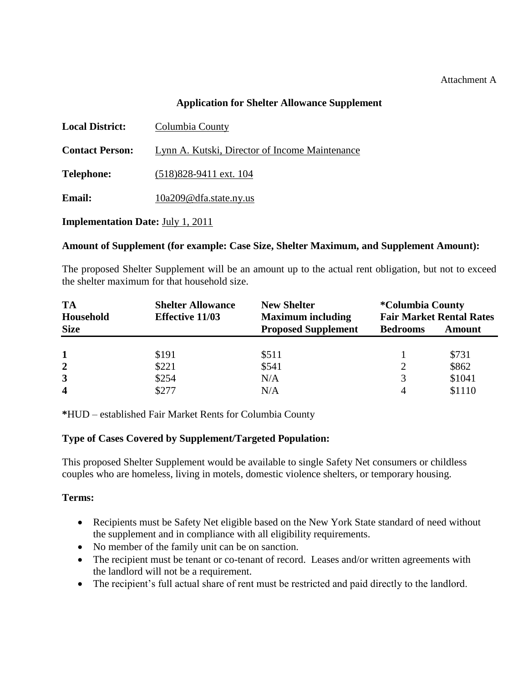#### Attachment A

#### **Application for Shelter Allowance Supplement**

| <b>Local District:</b>                   | Columbia County                                |  |
|------------------------------------------|------------------------------------------------|--|
| <b>Contact Person:</b>                   | Lynn A. Kutski, Director of Income Maintenance |  |
| <b>Telephone:</b>                        | $(518)828-9411$ ext. 104                       |  |
| <b>Email:</b>                            | 10a209@dfa.state.ny.us                         |  |
| <b>Implementation Date: July 1, 2011</b> |                                                |  |

#### **Amount of Supplement (for example: Case Size, Shelter Maximum, and Supplement Amount):**

The proposed Shelter Supplement will be an amount up to the actual rent obligation, but not to exceed the shelter maximum for that household size.

| <b>TA</b><br>Household  | <b>Shelter Allowance</b><br><b>Effective 11/03</b> | <b>New Shelter</b><br><b>Maximum including</b> | <i><b>*Columbia County</b></i><br><b>Fair Market Rental Rates</b> |        |
|-------------------------|----------------------------------------------------|------------------------------------------------|-------------------------------------------------------------------|--------|
| <b>Size</b>             |                                                    | <b>Proposed Supplement</b>                     | <b>Bedrooms</b>                                                   | Amount |
|                         | \$191                                              | \$511                                          |                                                                   | \$731  |
| $\overline{2}$          | \$221                                              | \$541                                          |                                                                   | \$862  |
| 3                       | \$254                                              | N/A                                            | 3                                                                 | \$1041 |
| $\overline{\mathbf{4}}$ | \$277                                              | N/A                                            |                                                                   | \$1110 |

**\***HUD – established Fair Market Rents for Columbia County

#### **Type of Cases Covered by Supplement/Targeted Population:**

This proposed Shelter Supplement would be available to single Safety Net consumers or childless couples who are homeless, living in motels, domestic violence shelters, or temporary housing.

#### **Terms:**

- Recipients must be Safety Net eligible based on the New York State standard of need without the supplement and in compliance with all eligibility requirements.
- No member of the family unit can be on sanction.
- The recipient must be tenant or co-tenant of record. Leases and/or written agreements with the landlord will not be a requirement.
- The recipient's full actual share of rent must be restricted and paid directly to the landlord.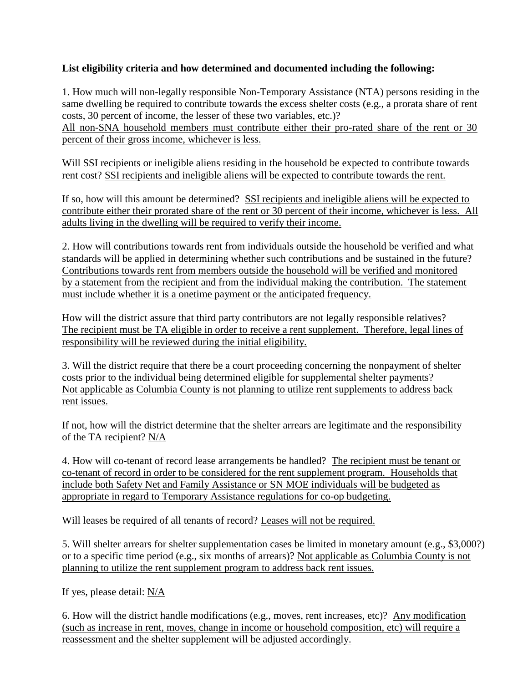# **List eligibility criteria and how determined and documented including the following:**

1. How much will non-legally responsible Non-Temporary Assistance (NTA) persons residing in the same dwelling be required to contribute towards the excess shelter costs (e.g., a prorata share of rent costs, 30 percent of income, the lesser of these two variables, etc.)?

All non-SNA household members must contribute either their pro-rated share of the rent or 30 percent of their gross income, whichever is less.

Will SSI recipients or ineligible aliens residing in the household be expected to contribute towards rent cost? SSI recipients and ineligible aliens will be expected to contribute towards the rent.

If so, how will this amount be determined? SSI recipients and ineligible aliens will be expected to contribute either their prorated share of the rent or 30 percent of their income, whichever is less. All adults living in the dwelling will be required to verify their income.

2. How will contributions towards rent from individuals outside the household be verified and what standards will be applied in determining whether such contributions and be sustained in the future? Contributions towards rent from members outside the household will be verified and monitored by a statement from the recipient and from the individual making the contribution. The statement must include whether it is a onetime payment or the anticipated frequency.

How will the district assure that third party contributors are not legally responsible relatives? The recipient must be TA eligible in order to receive a rent supplement. Therefore, legal lines of responsibility will be reviewed during the initial eligibility.

3. Will the district require that there be a court proceeding concerning the nonpayment of shelter costs prior to the individual being determined eligible for supplemental shelter payments? Not applicable as Columbia County is not planning to utilize rent supplements to address back rent issues.

If not, how will the district determine that the shelter arrears are legitimate and the responsibility of the TA recipient? N/A

4. How will co-tenant of record lease arrangements be handled? The recipient must be tenant or co-tenant of record in order to be considered for the rent supplement program. Households that include both Safety Net and Family Assistance or SN MOE individuals will be budgeted as appropriate in regard to Temporary Assistance regulations for co-op budgeting.

Will leases be required of all tenants of record? Leases will not be required.

5. Will shelter arrears for shelter supplementation cases be limited in monetary amount (e.g., \$3,000?) or to a specific time period (e.g., six months of arrears)? Not applicable as Columbia County is not planning to utilize the rent supplement program to address back rent issues.

If yes, please detail: N/A

6. How will the district handle modifications (e.g., moves, rent increases, etc)? Any modification (such as increase in rent, moves, change in income or household composition, etc) will require a reassessment and the shelter supplement will be adjusted accordingly.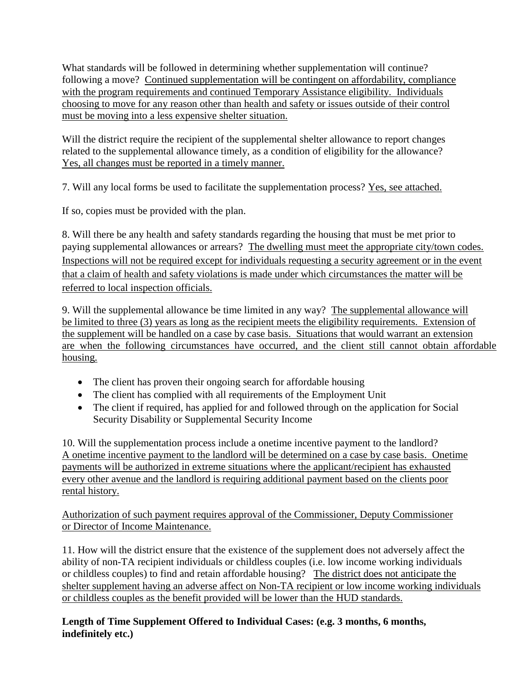What standards will be followed in determining whether supplementation will continue? following a move? Continued supplementation will be contingent on affordability, compliance with the program requirements and continued Temporary Assistance eligibility. Individuals choosing to move for any reason other than health and safety or issues outside of their control must be moving into a less expensive shelter situation.

Will the district require the recipient of the supplemental shelter allowance to report changes related to the supplemental allowance timely, as a condition of eligibility for the allowance? Yes, all changes must be reported in a timely manner.

7. Will any local forms be used to facilitate the supplementation process? Yes, see attached.

If so, copies must be provided with the plan.

8. Will there be any health and safety standards regarding the housing that must be met prior to paying supplemental allowances or arrears? The dwelling must meet the appropriate city/town codes. Inspections will not be required except for individuals requesting a security agreement or in the event that a claim of health and safety violations is made under which circumstances the matter will be referred to local inspection officials.

9. Will the supplemental allowance be time limited in any way? The supplemental allowance will be limited to three (3) years as long as the recipient meets the eligibility requirements. Extension of the supplement will be handled on a case by case basis. Situations that would warrant an extension are when the following circumstances have occurred, and the client still cannot obtain affordable housing.

- The client has proven their ongoing search for affordable housing
- The client has complied with all requirements of the Employment Unit
- The client if required, has applied for and followed through on the application for Social Security Disability or Supplemental Security Income

10. Will the supplementation process include a onetime incentive payment to the landlord? A onetime incentive payment to the landlord will be determined on a case by case basis. Onetime payments will be authorized in extreme situations where the applicant/recipient has exhausted every other avenue and the landlord is requiring additional payment based on the clients poor rental history.

Authorization of such payment requires approval of the Commissioner, Deputy Commissioner or Director of Income Maintenance.

11. How will the district ensure that the existence of the supplement does not adversely affect the ability of non-TA recipient individuals or childless couples (i.e. low income working individuals or childless couples) to find and retain affordable housing? The district does not anticipate the shelter supplement having an adverse affect on Non-TA recipient or low income working individuals or childless couples as the benefit provided will be lower than the HUD standards.

**Length of Time Supplement Offered to Individual Cases: (e.g. 3 months, 6 months, indefinitely etc.)**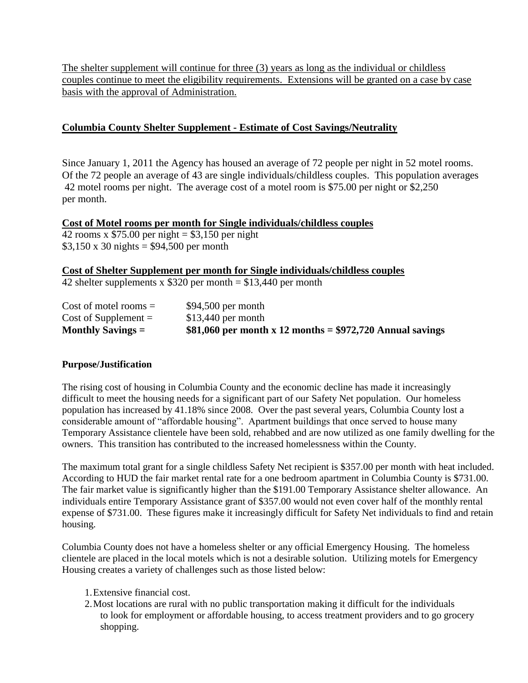The shelter supplement will continue for three (3) years as long as the individual or childless couples continue to meet the eligibility requirements. Extensions will be granted on a case by case basis with the approval of Administration.

## **Columbia County Shelter Supplement - Estimate of Cost Savings/Neutrality**

Since January 1, 2011 the Agency has housed an average of 72 people per night in 52 motel rooms. Of the 72 people an average of 43 are single individuals/childless couples. This population averages 42 motel rooms per night. The average cost of a motel room is \$75.00 per night or \$2,250 per month.

### **Cost of Motel rooms per month for Single individuals/childless couples**

 $\overline{42}$  rooms x \$75.00 per night = \$3,150 per night  $$3,150 \times 30$  nights = \$94,500 per month

**Cost of Shelter Supplement per month for Single individuals/childless couples**

42 shelter supplements x  $$320$  per month =  $$13,440$  per month

| $Cost of model rooms =$ | $$94,500$ per month                                        |
|-------------------------|------------------------------------------------------------|
| $Cost of Supplement =$  | $$13,440$ per month                                        |
| Monthly Savings $=$     | \$81,060 per month x 12 months = $$972,720$ Annual savings |

#### **Purpose/Justification**

The rising cost of housing in Columbia County and the economic decline has made it increasingly difficult to meet the housing needs for a significant part of our Safety Net population. Our homeless population has increased by 41.18% since 2008. Over the past several years, Columbia County lost a considerable amount of "affordable housing". Apartment buildings that once served to house many Temporary Assistance clientele have been sold, rehabbed and are now utilized as one family dwelling for the owners. This transition has contributed to the increased homelessness within the County.

The maximum total grant for a single childless Safety Net recipient is \$357.00 per month with heat included. According to HUD the fair market rental rate for a one bedroom apartment in Columbia County is \$731.00. The fair market value is significantly higher than the \$191.00 Temporary Assistance shelter allowance. An individuals entire Temporary Assistance grant of \$357.00 would not even cover half of the monthly rental expense of \$731.00. These figures make it increasingly difficult for Safety Net individuals to find and retain housing.

Columbia County does not have a homeless shelter or any official Emergency Housing. The homeless clientele are placed in the local motels which is not a desirable solution. Utilizing motels for Emergency Housing creates a variety of challenges such as those listed below:

- 1.Extensive financial cost.
- 2.Most locations are rural with no public transportation making it difficult for the individuals to look for employment or affordable housing, to access treatment providers and to go grocery shopping.